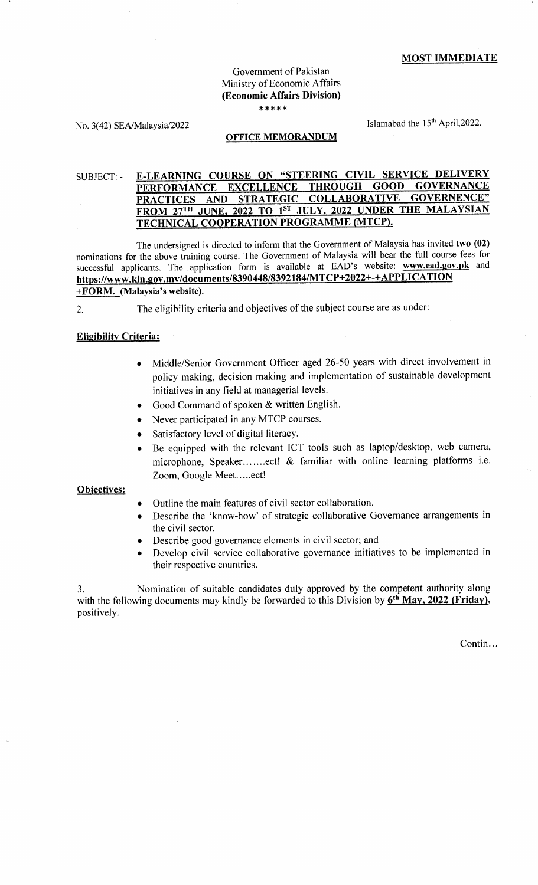### MOST IMMEDIATE

### Government of Pakistan Ministry of Economic Affairs (Economic Affairs Division) \*\*\*\*

No.  $3(42)$  SEA/Malaysia/2022 Islamabad the 15<sup>th</sup> April,2022.

### OFFICE MEMORANDUM

#### E-LEARNING COURSE ON "STEERING CIVIL SERVICE DELIVERY SUBJECT EXCELLENCE THROUGH GOOD GOVERNANCE **PERFORMANCE** PRACTICES AND STRATEGIC COLLABORATIVE GOVERNENCE" FROM 27<sup>TH</sup> JUNE, 2022 TO 1<sup>st</sup> JULY, 2022 UNDER THE MALAYSIAN<br>TECHNICAL COOPERATION PROGRAMME (MTCP).

The undersigned is directed to inform that the Government of Malaysia has invited two (02) nominations for the above training course. The Govemment of Malaysia will bear the full course fees fbr successful applicants. The application form is available at EAD's website: www.ead.gov.pk and https://www.kln.gov.my/documents/8390448/8392184/MTCP+2022+-+APPLICATION +FQRM. (Malaysia's website).

2. The eligibility criteria and objectives of the subject course are as under:

#### Eliqibilitv Criteria:

- Middle/Senior Government Officer aged 26-50 years with direct involvement in policy making, decision making and implementation of sustainable development initiatives in any field at managerial levels.
- Good Command of spoken & written English.
- o Never participated in any MTCP courses.
- Satisfactory level of digital literacy.
- Be equipped with the relevant ICT tools such as laptop/desktop, web camera, microphone, Speaker.......ect! & familiar with online learning platforms i.e. Zoom, Google Meet.....ect!

#### Obiectives:

- Outline the main features of civil sector collaboration.
- Describe the 'know-how' of strategic collaborative Governance arrangements in the civil sector.
- Describe good governance elements in civil sector; and
- Develop civil service collaborative governance initiatives to be implemented in their respective countries.

3. Nomination of suitable candidates duly approved by the competent authority along with the following documents may kindly be forwarded to this Division by  $6<sup>th</sup>$  May, 2022 (Friday), positively.

Contin...